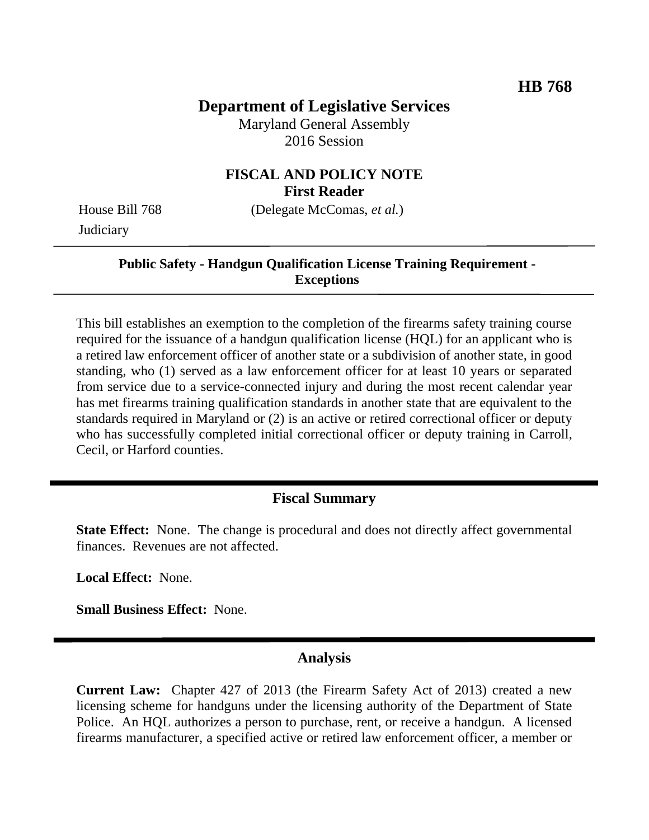# **Department of Legislative Services**

Maryland General Assembly 2016 Session

### **FISCAL AND POLICY NOTE First Reader**

House Bill 768 (Delegate McComas, *et al.*) **Judiciary** 

#### **Public Safety - Handgun Qualification License Training Requirement - Exceptions**

This bill establishes an exemption to the completion of the firearms safety training course required for the issuance of a handgun qualification license (HQL) for an applicant who is a retired law enforcement officer of another state or a subdivision of another state, in good standing, who (1) served as a law enforcement officer for at least 10 years or separated from service due to a service-connected injury and during the most recent calendar year has met firearms training qualification standards in another state that are equivalent to the standards required in Maryland or (2) is an active or retired correctional officer or deputy who has successfully completed initial correctional officer or deputy training in Carroll, Cecil, or Harford counties.

## **Fiscal Summary**

**State Effect:** None. The change is procedural and does not directly affect governmental finances. Revenues are not affected.

**Local Effect:** None.

**Small Business Effect:** None.

### **Analysis**

**Current Law:** Chapter 427 of 2013 (the Firearm Safety Act of 2013) created a new licensing scheme for handguns under the licensing authority of the Department of State Police. An HQL authorizes a person to purchase, rent, or receive a handgun. A licensed firearms manufacturer, a specified active or retired law enforcement officer, a member or